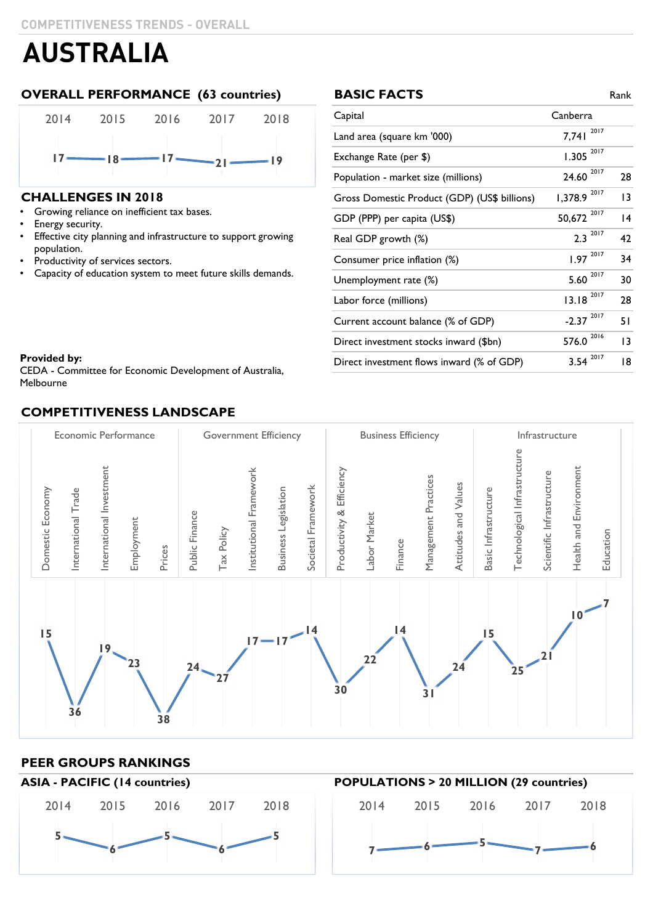### **OVERALL PERFORMANCE (63 countries)**



### **CHALLENGES IN 2018**

- Growing reliance on inefficient tax bases. Growing reliance on inefficient tax bases.
- Energy security.
- Effective city planning and infrastructure to support growing population.
- Productivity of services sectors.
- Capacity of education system to meet future skills demands.

| <b>BASIC FACTS</b>                           |                         | Rank |
|----------------------------------------------|-------------------------|------|
| Capital                                      | Canberra                |      |
| Land area (square km '000)                   | 2017<br>7,741           |      |
| Exchange Rate (per \$)                       | 2017<br>1.305           |      |
| Population - market size (millions)          | 24.60 2017              | 28   |
| Gross Domestic Product (GDP) (US\$ billions) | 2017<br>1,378.9         | 13   |
| GDP (PPP) per capita (US\$)                  | 50,672 2017             | 14   |
| Real GDP growth (%)                          | $2.3^{2017}$            | 42   |
| Consumer price inflation (%)                 | $1.97^{2017}$           | 34   |
| Unemployment rate (%)                        | 2017<br>5.60            | 30   |
| Labor force (millions)                       | $13.18^{2017}$          | 28   |
| Current account balance (% of GDP)           | $-2.37$ <sup>2017</sup> | 51   |
| Direct investment stocks inward (\$bn)       | 2016<br>576.0           | 13   |
| Direct investment flows inward (% of GDP)    | 2017<br>3.54            | 18   |

#### **Provided by:** The Committee for Australia,  $\mathbf{C} = \mathbf{C} \cdot \mathbf{C}$

Melbourne MelbourneCEDA - Committee for Economic Development of Australia,

### **COMPETITIVENESS LANDSCAPE**



### **PEER GROUPS RANKINGS**



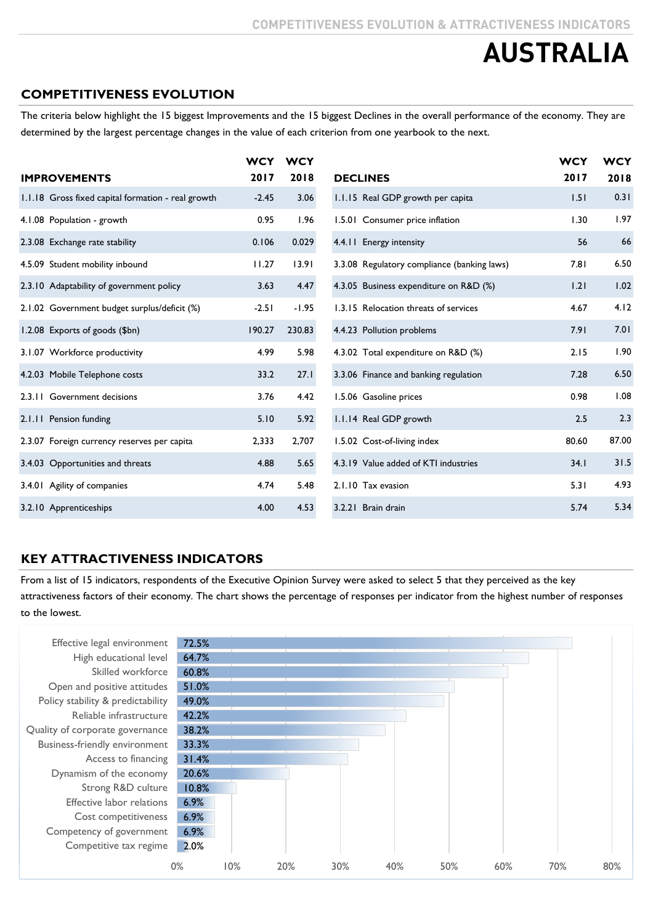### **COMPETITIVENESS EVOLUTION**

The criteria below highlight the 15 biggest Improvements and the 15 biggest Declines in the overall performance of the economy. They are determined by the largest percentage changes in the value of each criterion from one yearbook to the next.

|                                                    | <b>WCY</b> | <b>WCY</b> |                                             | <b>WCY</b> | <b>WCY</b> |
|----------------------------------------------------|------------|------------|---------------------------------------------|------------|------------|
| <b>IMPROVEMENTS</b>                                | 2017       | 2018       | <b>DECLINES</b>                             | 2017       | 2018       |
| 1.1.18 Gross fixed capital formation - real growth | $-2.45$    | 3.06       | 1.1.15 Real GDP growth per capita           | 1.51       | 0.31       |
| 4.1.08 Population - growth                         | 0.95       | 1.96       | 1.5.01 Consumer price inflation             | 1.30       | 1.97       |
| 2.3.08 Exchange rate stability                     | 0.106      | 0.029      | 4.4.11 Energy intensity                     | 56         | 66         |
| 4.5.09 Student mobility inbound                    | 11.27      | 13.91      | 3.3.08 Regulatory compliance (banking laws) | 7.81       | 6.50       |
| 2.3.10 Adaptability of government policy           | 3.63       | 4.47       | 4.3.05 Business expenditure on R&D (%)      | 1.21       | 1.02       |
| 2.1.02 Government budget surplus/deficit (%)       | $-2.51$    | $-1.95$    | 1.3.15 Relocation threats of services       | 4.67       | 4.12       |
| 1.2.08 Exports of goods (\$bn)                     | 190.27     | 230.83     | 4.4.23 Pollution problems                   | 7.91       | 7.01       |
| 3.1.07 Workforce productivity                      | 4.99       | 5.98       | 4.3.02 Total expenditure on R&D (%)         | 2.15       | 1.90       |
| 4.2.03 Mobile Telephone costs                      | 33.2       | 27.1       | 3.3.06 Finance and banking regulation       | 7.28       | 6.50       |
| 2.3.11 Government decisions                        | 3.76       | 4.42       | 1.5.06 Gasoline prices                      | 0.98       | 1.08       |
| 2.1.11 Pension funding                             | 5.10       | 5.92       | 1.1.14 Real GDP growth                      | 2.5        | 2.3        |
| 2.3.07 Foreign currency reserves per capita        | 2,333      | 2,707      | 1.5.02 Cost-of-living index                 | 80.60      | 87.00      |
| 3.4.03 Opportunities and threats                   | 4.88       | 5.65       | 4.3.19 Value added of KTI industries        | 34.1       | 31.5       |
| 3.4.01 Agility of companies                        | 4.74       | 5.48       | 2.1.10 Tax evasion                          | 5.31       | 4.93       |
| 3.2.10 Apprenticeships                             | 4.00       | 4.53       | 3.2.21 Brain drain                          | 5.74       | 5.34       |

### **KEY ATTRACTIVENESS INDICATORS**

From a list of 15 indicators, respondents of the Executive Opinion Survey were asked to select 5 that they perceived as the key attractiveness factors of their economy. The chart shows the percentage of responses per indicator from the highest number of responses to the lowest.

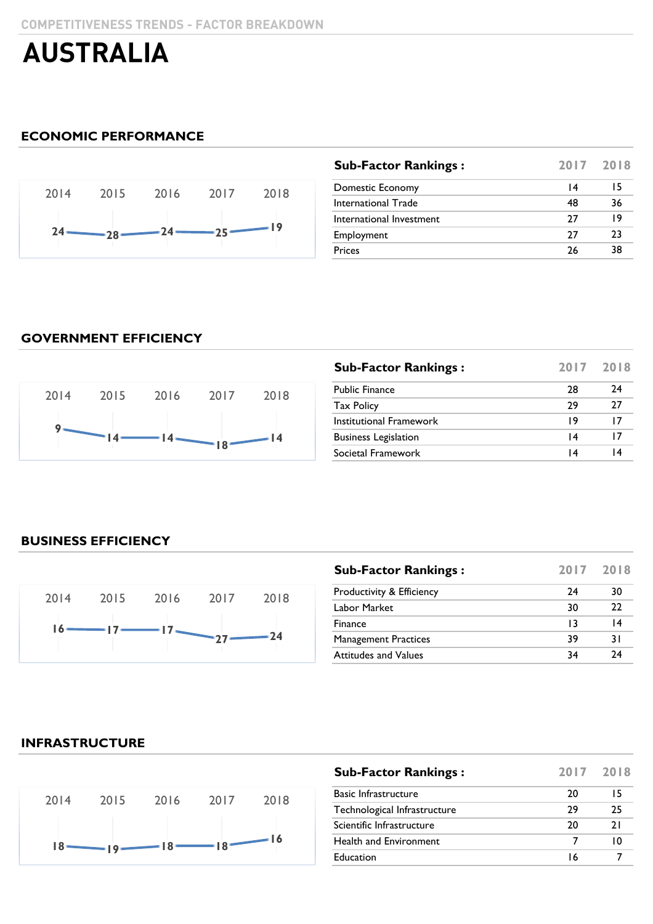### **ECONOMIC PERFORMANCE**



| <b>Sub-Factor Rankings:</b> | 2017 2018 |    |
|-----------------------------|-----------|----|
| Domestic Economy            | 14        | 15 |
| International Trade         | 48        | 36 |
| International Investment    | 77        | 19 |
| Employment                  | 27        | 23 |
| <b>Prices</b>               | 26        | 38 |
|                             |           |    |

### **GOVERNMENT EFFICIENCY**



| <b>Sub-Factor Rankings:</b> | 2017 | 2018 |
|-----------------------------|------|------|
| <b>Public Finance</b>       | 28   | 74   |
| <b>Tax Policy</b>           | 29   | 27   |
| Institutional Framework     | 19   | 17   |
| <b>Business Legislation</b> | 14   | 17   |
| Societal Framework          | 14   | 14   |

### **BUSINESS EFFICIENCY**

![](_page_2_Figure_9.jpeg)

| <b>Sub-Factor Rankings:</b>          |    | 2017 2018 |
|--------------------------------------|----|-----------|
| <b>Productivity &amp; Efficiency</b> | 24 | 30        |
| Labor Market                         | 30 | 22        |
| Finance                              | 13 | 14        |
| <b>Management Practices</b>          | 39 | 3 I       |
| <b>Attitudes and Values</b>          | 34 | 24        |

### **INFRASTRUCTURE**

![](_page_2_Figure_12.jpeg)

| <b>Sub-Factor Rankings:</b>  |    | 2017 2018 |
|------------------------------|----|-----------|
| <b>Basic Infrastructure</b>  | 20 | 15        |
| Technological Infrastructure | 29 | 25        |
| Scientific Infrastructure    | 20 | 21        |
| Health and Environment       |    | ıΩ        |
| Education                    | 16 |           |